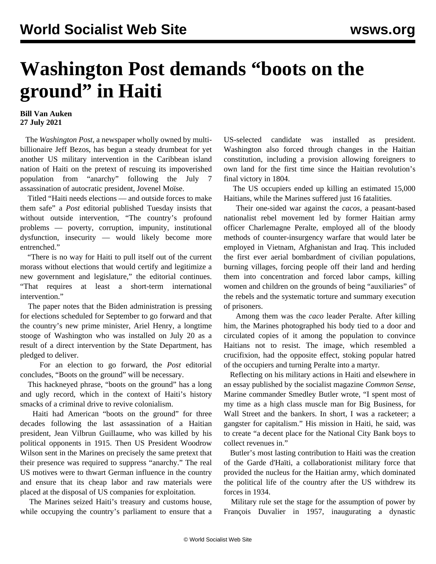## **Washington Post demands "boots on the ground" in Haiti**

## **Bill Van Auken 27 July 2021**

 The *Washington Post*, a newspaper wholly owned by multibillionaire Jeff Bezos, has begun a steady drumbeat for yet another US military intervention in the Caribbean island nation of Haiti on the pretext of rescuing its impoverished population from "anarchy" following the July 7 assassination of autocratic president, Jovenel Moïse.

 Titled "Haiti needs elections — and outside forces to make them safe" a *Post* editorial published Tuesday insists that without outside intervention, "The country's profound problems — poverty, corruption, impunity, institutional dysfunction, insecurity — would likely become more entrenched."

 "There is no way for Haiti to pull itself out of the current morass without elections that would certify and legitimize a new government and legislature," the editorial continues. "That requires at least a short-term international intervention."

 The paper notes that the Biden administration is pressing for elections scheduled for September to go forward and that the country's new prime minister, Ariel Henry, a longtime stooge of Washington who was installed on July 20 as a result of a direct intervention by the State Department, has pledged to deliver.

 For an election to go forward, the *Post* editorial concludes, "Boots on the ground" will be necessary.

 This hackneyed phrase, "boots on the ground" has a long and ugly record, which in the context of Haiti's history smacks of a criminal drive to revive colonialism.

 Haiti had American "boots on the ground" for three decades following the last assassination of a Haitian president, Jean Vilbrun Guillaume, who was killed by his political opponents in 1915. Then US President Woodrow Wilson sent in the Marines on precisely the same pretext that their presence was required to suppress "anarchy." The real US motives were to thwart German influence in the country and ensure that its cheap labor and raw materials were placed at the disposal of US companies for exploitation.

 The Marines seized Haiti's treasury and customs house, while occupying the country's parliament to ensure that a US-selected candidate was installed as president. Washington also forced through changes in the Haitian constitution, including a provision allowing foreigners to own land for the first time since the Haitian revolution's final victory in 1804.

 The US occupiers ended up killing an estimated 15,000 Haitians, while the Marines suffered just 16 fatalities.

 Their one-sided war against the *cacos*, a peasant-based nationalist rebel movement led by former Haitian army officer Charlemagne Peralte, employed all of the bloody methods of counter-insurgency warfare that would later be employed in Vietnam, Afghanistan and Iraq. This included the first ever aerial bombardment of civilian populations, burning villages, forcing people off their land and herding them into concentration and forced labor camps, killing women and children on the grounds of being "auxiliaries" of the rebels and the systematic torture and summary execution of prisoners.

 Among them was the *caco* leader Peralte. After killing him, the Marines photographed his body tied to a door and circulated copies of it among the population to convince Haitians not to resist. The image, which resembled a crucifixion, had the opposite effect, stoking popular hatred of the occupiers and turning Peralte into a martyr.

 Reflecting on his military actions in Haiti and elsewhere in an essay published by the socialist magazine *Common Sense*, Marine commander Smedley Butler wrote, "I spent most of my time as a high class muscle man for Big Business, for Wall Street and the bankers. In short, I was a racketeer; a gangster for capitalism." His mission in Haiti, he said, was to create "a decent place for the National City Bank boys to collect revenues in."

 Butler's most lasting contribution to Haiti was the creation of the Garde d'Haïti, a collaborationist military force that provided the nucleus for the Haitian army, which dominated the political life of the country after the US withdrew its forces in 1934.

 Military rule set the stage for the assumption of power by François Duvalier in 1957, inaugurating a dynastic